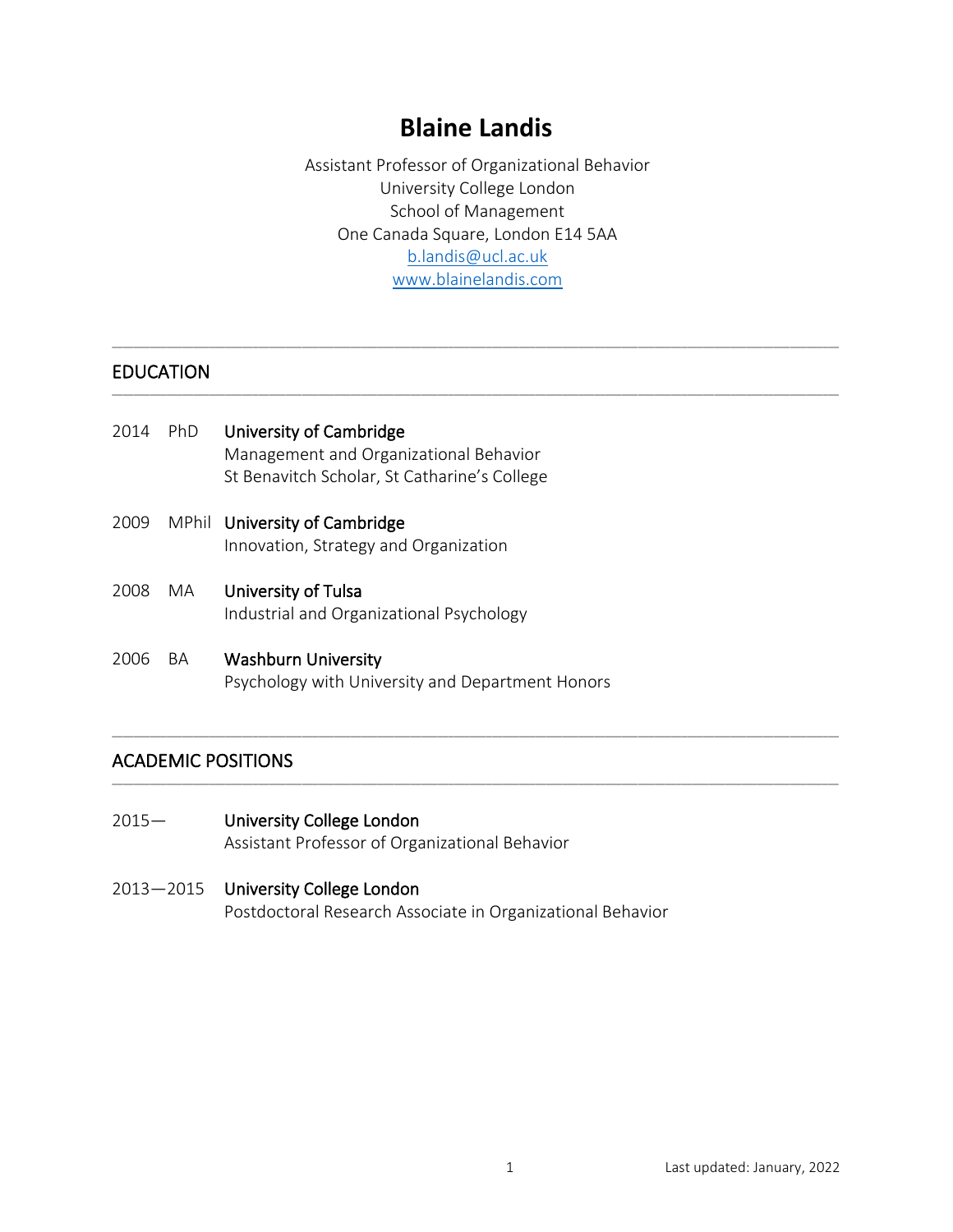# **Blaine Landis**

Assistant Professor of Organizational Behavior University College London School of Management One Canada Square, London E14 5AA [b.landis@ucl.ac.uk](mailto:b.landis@ucl.ac.uk) [www.blainelandis.com](http://www.blainelandis.com/)

\_\_\_\_\_\_\_\_\_\_\_\_\_\_\_\_\_\_\_\_\_\_\_\_\_\_\_\_\_\_\_\_\_\_\_\_\_\_\_\_\_\_\_\_\_\_\_\_\_\_\_\_\_\_\_\_\_\_\_\_\_\_\_\_\_\_\_\_\_\_\_\_\_\_\_\_\_\_\_\_\_\_\_\_\_\_\_\_\_\_\_\_\_\_\_\_\_\_\_\_\_\_\_\_\_\_\_\_\_\_\_\_\_\_\_\_\_\_\_\_\_\_\_\_\_\_\_\_\_\_\_\_\_\_

\_\_\_\_\_\_\_\_\_\_\_\_\_\_\_\_\_\_\_\_\_\_\_\_\_\_\_\_\_\_\_\_\_\_\_\_\_\_\_\_\_\_\_\_\_\_\_\_\_\_\_\_\_\_\_\_\_\_\_\_\_\_\_\_\_\_\_\_\_\_\_\_\_\_\_\_\_\_\_\_\_\_\_\_\_\_\_\_\_\_\_\_\_\_\_\_\_\_\_\_\_\_\_\_\_\_\_\_\_\_\_\_\_\_\_\_\_\_\_\_\_\_\_\_\_\_\_\_\_\_\_\_\_\_

\_\_\_\_\_\_\_\_\_\_\_\_\_\_\_\_\_\_\_\_\_\_\_\_\_\_\_\_\_\_\_\_\_\_\_\_\_\_\_\_\_\_\_\_\_\_\_\_\_\_\_\_\_\_\_\_\_\_\_\_\_\_\_\_\_\_\_\_\_\_\_\_\_\_\_\_\_\_\_\_\_\_\_\_\_\_\_\_\_\_\_\_\_\_\_\_\_\_\_\_\_\_\_\_\_\_\_\_\_\_\_\_\_\_\_\_\_\_\_\_\_\_\_\_\_\_\_\_\_\_\_\_\_\_

\_\_\_\_\_\_\_\_\_\_\_\_\_\_\_\_\_\_\_\_\_\_\_\_\_\_\_\_\_\_\_\_\_\_\_\_\_\_\_\_\_\_\_\_\_\_\_\_\_\_\_\_\_\_\_\_\_\_\_\_\_\_\_\_\_\_\_\_\_\_\_\_\_\_\_\_\_\_\_\_\_\_\_\_\_\_\_\_\_\_\_\_\_\_\_\_\_\_\_\_\_\_\_\_\_\_\_\_\_\_\_\_\_\_\_\_\_\_\_\_\_\_\_\_\_\_\_\_\_\_\_\_\_\_

# EDUCATION

- 2014 PhD University of Cambridge Management and Organizational Behavior St Benavitch Scholar, St Catharine's College
- 2009 MPhil University of Cambridge Innovation, Strategy and Organization
- 2008 MA University of Tulsa Industrial and Organizational Psychology
- 2006 BA Washburn University Psychology with University and Department Honors

# ACADEMIC POSITIONS

2015— University College London Assistant Professor of Organizational Behavior

#### 2013—2015 University College London Postdoctoral Research Associate in Organizational Behavior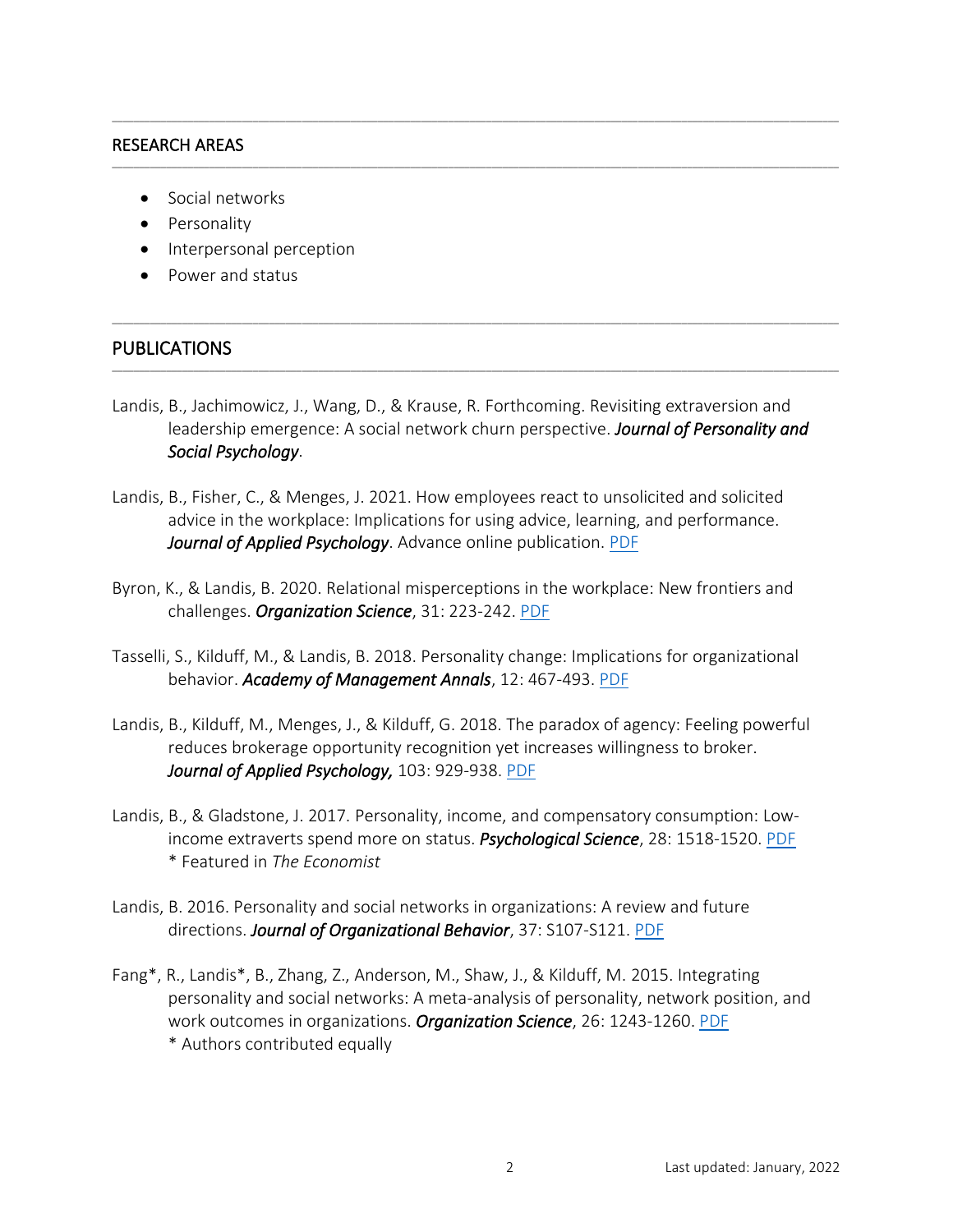#### RESEARCH AREAS

- Social networks
- Personality
- Interpersonal perception
- Power and status

#### PUBLICATIONS

Landis, B., Jachimowicz, J., Wang, D., & Krause, R. Forthcoming. Revisiting extraversion and leadership emergence: A social network churn perspective. *Journal of Personality and Social Psychology*.

\_\_\_\_\_\_\_\_\_\_\_\_\_\_\_\_\_\_\_\_\_\_\_\_\_\_\_\_\_\_\_\_\_\_\_\_\_\_\_\_\_\_\_\_\_\_\_\_\_\_\_\_\_\_\_\_\_\_\_\_\_\_\_\_\_\_\_\_\_\_\_\_\_\_\_\_\_\_\_\_\_\_\_\_\_\_\_\_\_\_\_\_\_\_\_\_\_\_\_\_\_\_\_\_\_\_\_\_\_\_\_\_\_\_\_\_\_\_\_\_\_\_\_\_\_\_\_\_\_\_\_\_\_\_

\_\_\_\_\_\_\_\_\_\_\_\_\_\_\_\_\_\_\_\_\_\_\_\_\_\_\_\_\_\_\_\_\_\_\_\_\_\_\_\_\_\_\_\_\_\_\_\_\_\_\_\_\_\_\_\_\_\_\_\_\_\_\_\_\_\_\_\_\_\_\_\_\_\_\_\_\_\_\_\_\_\_\_\_\_\_\_\_\_\_\_\_\_\_\_\_\_\_\_\_\_\_\_\_\_\_\_\_\_\_\_\_\_\_\_\_\_\_\_\_\_\_\_\_\_\_\_\_\_\_\_\_\_\_

\_\_\_\_\_\_\_\_\_\_\_\_\_\_\_\_\_\_\_\_\_\_\_\_\_\_\_\_\_\_\_\_\_\_\_\_\_\_\_\_\_\_\_\_\_\_\_\_\_\_\_\_\_\_\_\_\_\_\_\_\_\_\_\_\_\_\_\_\_\_\_\_\_\_\_\_\_\_\_\_\_\_\_\_\_\_\_\_\_\_\_\_\_\_\_\_\_\_\_\_\_\_\_\_\_\_\_\_\_\_\_\_\_\_\_\_\_\_\_\_\_\_\_\_\_\_\_\_\_\_\_\_\_\_

\_\_\_\_\_\_\_\_\_\_\_\_\_\_\_\_\_\_\_\_\_\_\_\_\_\_\_\_\_\_\_\_\_\_\_\_\_\_\_\_\_\_\_\_\_\_\_\_\_\_\_\_\_\_\_\_\_\_\_\_\_\_\_\_\_\_\_\_\_\_\_\_\_\_\_\_\_\_\_\_\_\_\_\_\_\_\_\_\_\_\_\_\_\_\_\_\_\_\_\_\_\_\_\_\_\_\_\_\_\_\_\_\_\_\_\_\_\_\_\_\_\_\_\_\_\_\_\_\_\_\_\_\_\_

- Landis, B., Fisher, C., & Menges, J. 2021. How employees react to unsolicited and solicited advice in the workplace: Implications for using advice, learning, and performance. *Journal of Applied Psychology*. Advance online publication. [PDF](https://psycnet.apa.org/fulltext/2021-54183-001.pdf)
- Byron, K., & Landis, B. 2020. Relational misperceptions in the workplace: New frontiers and challenges. *Organization Science*, 31: 223-242. [PDF](https://www.blainelandis.com/wp-content/uploads/2020/01/Byron-Landis-2019.pdf)
- Tasselli, S., Kilduff, M., & Landis, B. 2018. Personality change: Implications for organizational behavior. *Academy of Management Annals*, 12: 467-493. [PDF](https://www.blainelandis.com/wp-content/uploads/2018/07/Tasselli-et-al.-2018.pdf)
- Landis, B., Kilduff, M., Menges, J., & Kilduff, G. 2018. The paradox of agency: Feeling powerful reduces brokerage opportunity recognition yet increases willingness to broker. *Journal of Applied Psychology,* 103: 929-938. [PDF](https://www.blainelandis.com/wp-content/uploads/2018/04/Power-and-Brokerage-PDF.pdf)
- Landis, B., & Gladstone, J. 2017. Personality, income, and compensatory consumption: Lowincome extraverts spend more on status. *Psychological Science*, 28: 1518-1520. [PDF](https://www.blainelandis.com/wp-content/uploads/2017/08/Personality-Poverty-and-Status-Spending-PDF.pdf) \* Featured in *The Economist*
- Landis, B. 2016. Personality and social networks in organizations: A review and future directions. *Journal of Organizational Behavior*, 37: S107-S121. [PDF](https://www.blainelandis.com/wp-content/uploads/2017/08/Personality-and-Networks-Review-PDF.pdf)
- Fang\*, R., Landis\*, B., Zhang, Z., Anderson, M., Shaw, J., & Kilduff, M. 2015. Integrating personality and social networks: A meta-analysis of personality, network position, and work outcomes in organizations. *Organization Science*, 26: 1243-1260. [PDF](https://www.blainelandis.com/wp-content/uploads/2017/08/Personality-and-Networks-Meta-Analysis-PDF.pdf) \* Authors contributed equally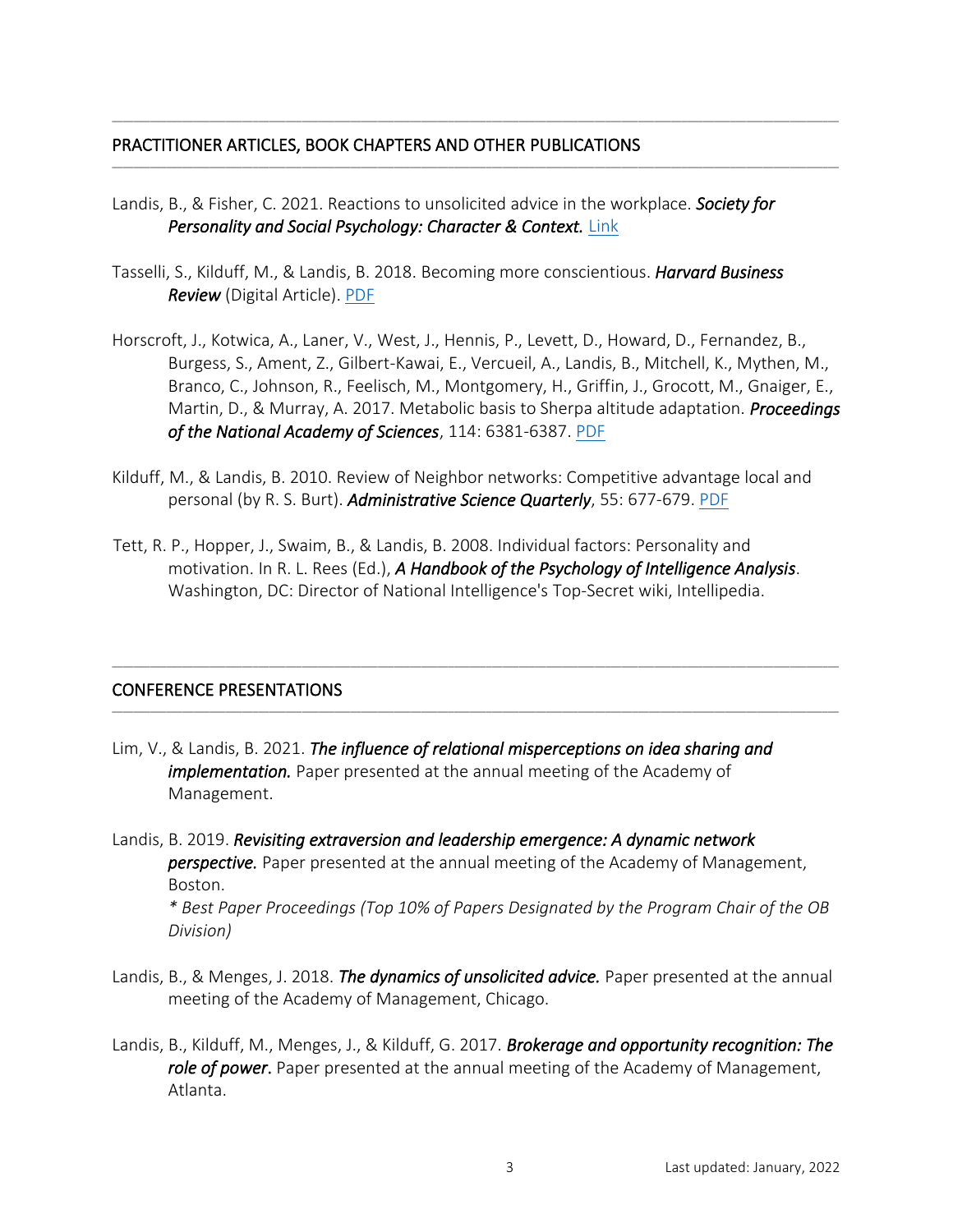#### PRACTITIONER ARTICLES, BOOK CHAPTERS AND OTHER PUBLICATIONS

Landis, B., & Fisher, C. 2021. Reactions to unsolicited advice in the workplace. *Society for Personality and Social Psychology: Character & Context. [Link](https://www.spsp.org/news-center/blog/landis-coworker-unsolicited-advice)* 

\_\_\_\_\_\_\_\_\_\_\_\_\_\_\_\_\_\_\_\_\_\_\_\_\_\_\_\_\_\_\_\_\_\_\_\_\_\_\_\_\_\_\_\_\_\_\_\_\_\_\_\_\_\_\_\_\_\_\_\_\_\_\_\_\_\_\_\_\_\_\_\_\_\_\_\_\_\_\_\_\_\_\_\_\_\_\_\_\_\_\_\_\_\_\_\_\_\_\_\_\_\_\_\_\_\_\_\_\_\_\_\_\_\_\_\_\_\_\_\_\_\_\_\_\_\_\_\_\_\_\_\_\_\_

\_\_\_\_\_\_\_\_\_\_\_\_\_\_\_\_\_\_\_\_\_\_\_\_\_\_\_\_\_\_\_\_\_\_\_\_\_\_\_\_\_\_\_\_\_\_\_\_\_\_\_\_\_\_\_\_\_\_\_\_\_\_\_\_\_\_\_\_\_\_\_\_\_\_\_\_\_\_\_\_\_\_\_\_\_\_\_\_\_\_\_\_\_\_\_\_\_\_\_\_\_\_\_\_\_\_\_\_\_\_\_\_\_\_\_\_\_\_\_\_\_\_\_\_\_\_\_\_\_\_\_\_\_\_

- Tasselli, S., Kilduff, M., & Landis, B. 2018. Becoming more conscientious. *Harvard Business Review* (Digital Article). [PDF](https://hbr.org/2018/03/becoming-more-conscientious)
- Horscroft, J., Kotwica, A., Laner, V., West, J., Hennis, P., Levett, D., Howard, D., Fernandez, B., Burgess, S., Ament, Z., Gilbert-Kawai, E., Vercueil, A., Landis, B., Mitchell, K., Mythen, M., Branco, C., Johnson, R., Feelisch, M., Montgomery, H., Griffin, J., Grocott, M., Gnaiger, E., Martin, D., & Murray, A. 2017. Metabolic basis to Sherpa altitude adaptation. *Proceedings of the National Academy of Sciences*, 114: 6381-6387. [PDF](https://www.researchgate.net/publication/316984397_Metabolic_basis_to_Sherpa_altitude_adaption)
- Kilduff, M., & Landis, B. 2010. Review of Neighbor networks: Competitive advantage local and personal (by R. S. Burt). *Administrative Science Quarterly*, 55: 677-679. [PDF](https://journals.sagepub.com/doi/10.2189/asqu.2010.55.4.677)
- Tett, R. P., Hopper, J., Swaim, B., & Landis, B. 2008. Individual factors: Personality and motivation. In R. L. Rees (Ed.), *A Handbook of the Psychology of Intelligence Analysis*. Washington, DC: Director of National Intelligence's Top-Secret wiki, Intellipedia.

\_\_\_\_\_\_\_\_\_\_\_\_\_\_\_\_\_\_\_\_\_\_\_\_\_\_\_\_\_\_\_\_\_\_\_\_\_\_\_\_\_\_\_\_\_\_\_\_\_\_\_\_\_\_\_\_\_\_\_\_\_\_\_\_\_\_\_\_\_\_\_\_\_\_\_\_\_\_\_\_\_\_\_\_\_\_\_\_\_\_\_\_\_\_\_\_\_\_\_\_\_\_\_\_\_\_\_\_\_\_\_\_\_\_\_\_\_\_\_\_\_\_\_\_\_\_\_\_\_\_\_\_\_\_

\_\_\_\_\_\_\_\_\_\_\_\_\_\_\_\_\_\_\_\_\_\_\_\_\_\_\_\_\_\_\_\_\_\_\_\_\_\_\_\_\_\_\_\_\_\_\_\_\_\_\_\_\_\_\_\_\_\_\_\_\_\_\_\_\_\_\_\_\_\_\_\_\_\_\_\_\_\_\_\_\_\_\_\_\_\_\_\_\_\_\_\_\_\_\_\_\_\_\_\_\_\_\_\_\_\_\_\_\_\_\_\_\_\_\_\_\_\_\_\_\_\_\_\_\_\_\_\_\_\_\_\_\_\_

## CONFERENCE PRESENTATIONS

- Lim, V., & Landis, B. 2021. *The influence of relational misperceptions on idea sharing and implementation.* Paper presented at the annual meeting of the Academy of Management.
- Landis, B. 2019. *Revisiting extraversion and leadership emergence: A dynamic network perspective.* Paper presented at the annual meeting of the Academy of Management, Boston.

*\* Best Paper Proceedings (Top 10% of Papers Designated by the Program Chair of the OB Division)*

- Landis, B., & Menges, J. 2018. *The dynamics of unsolicited advice.* Paper presented at the annual meeting of the Academy of Management, Chicago.
- Landis, B., Kilduff, M., Menges, J., & Kilduff, G. 2017. *Brokerage and opportunity recognition: The role of power*. Paper presented at the annual meeting of the Academy of Management, Atlanta.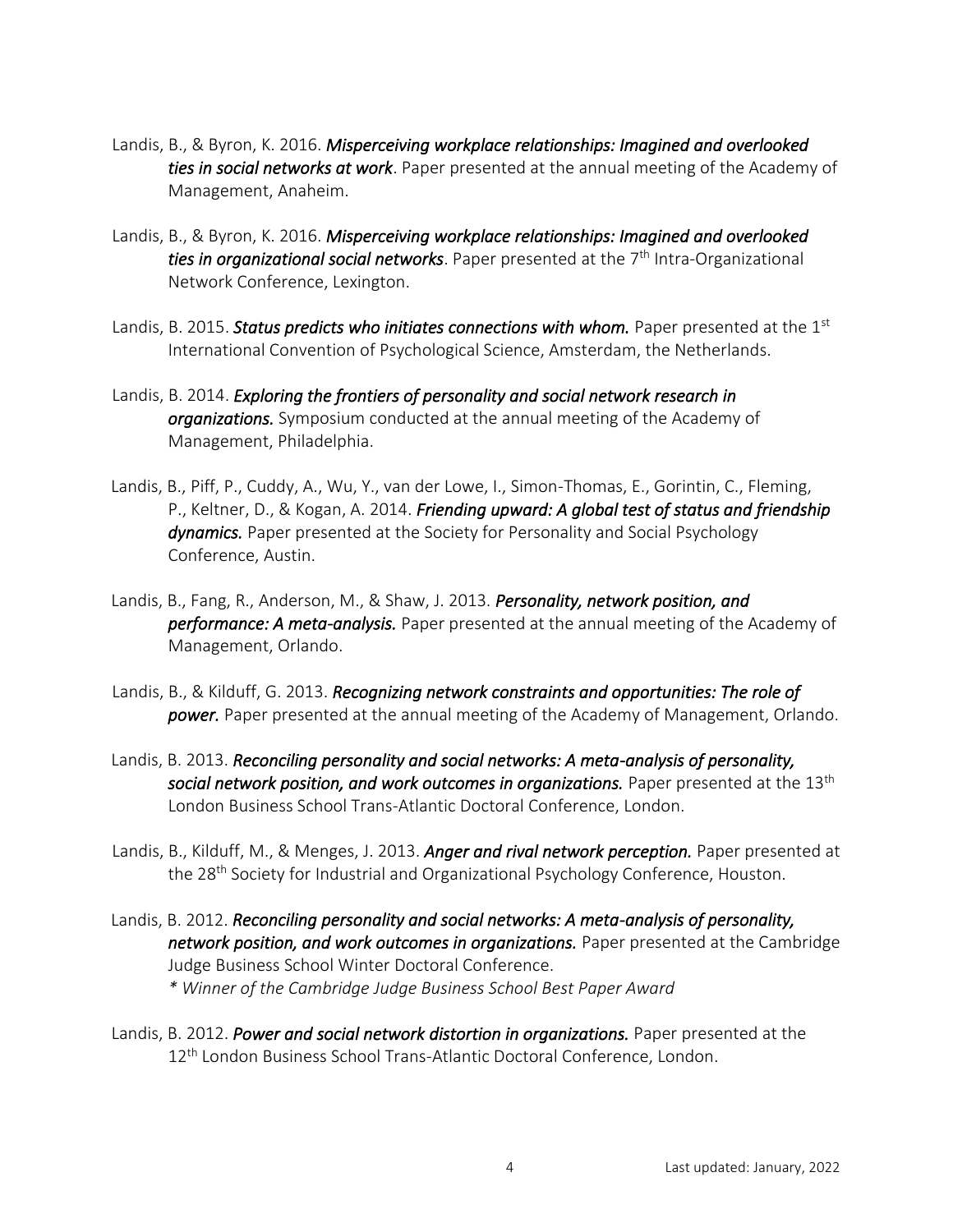- Landis, B., & Byron, K. 2016. *Misperceiving workplace relationships: Imagined and overlooked ties in social networks at work*. Paper presented at the annual meeting of the Academy of Management, Anaheim.
- Landis, B., & Byron, K. 2016. *Misperceiving workplace relationships: Imagined and overlooked*  ties in organizational social networks. Paper presented at the 7<sup>th</sup> Intra-Organizational Network Conference, Lexington.
- Landis, B. 2015. *Status predicts who initiates connections with whom*. Paper presented at the 1<sup>st</sup> International Convention of Psychological Science, Amsterdam, the Netherlands.
- Landis, B. 2014. *Exploring the frontiers of personality and social network research in organizations.* Symposium conducted at the annual meeting of the Academy of Management, Philadelphia.
- Landis, B., Piff, P., Cuddy, A., Wu, Y., van der Lowe, I., Simon-Thomas, E., Gorintin, C., Fleming, P., Keltner, D., & Kogan, A. 2014. *Friending upward: A global test of status and friendship dynamics.* Paper presented at the Society for Personality and Social Psychology Conference, Austin.
- Landis, B., Fang, R., Anderson, M., & Shaw, J. 2013. *Personality, network position, and performance: A meta-analysis.* Paper presented at the annual meeting of the Academy of Management, Orlando.
- Landis, B., & Kilduff, G. 2013. *Recognizing network constraints and opportunities: The role of power.* Paper presented at the annual meeting of the Academy of Management, Orlando.
- Landis, B. 2013. *Reconciling personality and social networks: A meta-analysis of personality, social network position, and work outcomes in organizations.* Paper presented at the 13th London Business School Trans-Atlantic Doctoral Conference, London.
- Landis, B., Kilduff, M., & Menges, J. 2013. *Anger and rival network perception.* Paper presented at the 28<sup>th</sup> Society for Industrial and Organizational Psychology Conference, Houston.
- Landis, B. 2012. *Reconciling personality and social networks: A meta-analysis of personality, network position, and work outcomes in organizations.* Paper presented at the Cambridge Judge Business School Winter Doctoral Conference. *\* Winner of the Cambridge Judge Business School Best Paper Award*
- Landis, B. 2012. *Power and social network distortion in organizations.* Paper presented at the 12<sup>th</sup> London Business School Trans-Atlantic Doctoral Conference, London.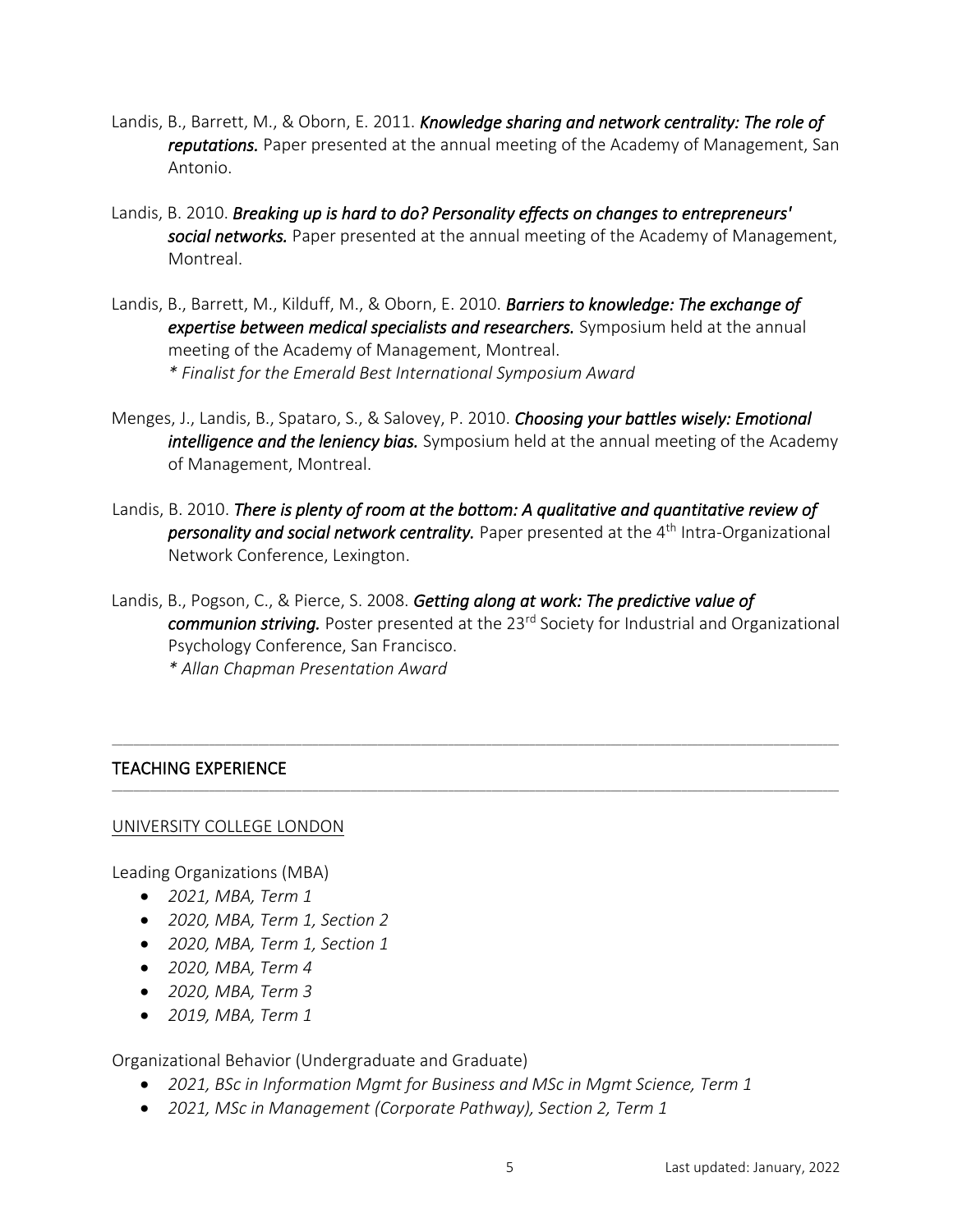- Landis, B., Barrett, M., & Oborn, E. 2011. *Knowledge sharing and network centrality: The role of reputations.* Paper presented at the annual meeting of the Academy of Management, San Antonio.
- Landis, B. 2010. *Breaking up is hard to do? Personality effects on changes to entrepreneurs' social networks.* Paper presented at the annual meeting of the Academy of Management, Montreal.
- Landis, B., Barrett, M., Kilduff, M., & Oborn, E. 2010. *Barriers to knowledge: The exchange of expertise between medical specialists and researchers.* Symposium held at the annual meeting of the Academy of Management, Montreal. *\* Finalist for the Emerald Best International Symposium Award*
- Menges, J., Landis, B., Spataro, S., & Salovey, P. 2010. *Choosing your battles wisely: Emotional intelligence and the leniency bias.* Symposium held at the annual meeting of the Academy of Management, Montreal.
- Landis, B. 2010. *There is plenty of room at the bottom: A qualitative and quantitative review of*  **personality and social network centrality.** Paper presented at the 4<sup>th</sup> Intra-Organizational Network Conference, Lexington.
- Landis, B., Pogson, C., & Pierce, S. 2008. *Getting along at work: The predictive value of communion striving.* Poster presented at the 23rd Society for Industrial and Organizational Psychology Conference, San Francisco.

\_\_\_\_\_\_\_\_\_\_\_\_\_\_\_\_\_\_\_\_\_\_\_\_\_\_\_\_\_\_\_\_\_\_\_\_\_\_\_\_\_\_\_\_\_\_\_\_\_\_\_\_\_\_\_\_\_\_\_\_\_\_\_\_\_\_\_\_\_\_\_\_\_\_\_\_\_\_\_\_\_\_\_\_\_\_\_\_\_\_\_\_\_\_\_\_\_\_\_\_\_\_\_\_\_\_\_\_\_\_\_\_\_\_\_\_\_\_\_\_\_\_\_\_\_\_\_\_\_\_\_\_\_\_

\_\_\_\_\_\_\_\_\_\_\_\_\_\_\_\_\_\_\_\_\_\_\_\_\_\_\_\_\_\_\_\_\_\_\_\_\_\_\_\_\_\_\_\_\_\_\_\_\_\_\_\_\_\_\_\_\_\_\_\_\_\_\_\_\_\_\_\_\_\_\_\_\_\_\_\_\_\_\_\_\_\_\_\_\_\_\_\_\_\_\_\_\_\_\_\_\_\_\_\_\_\_\_\_\_\_\_\_\_\_\_\_\_\_\_\_\_\_\_\_\_\_\_\_\_\_\_\_\_\_\_\_\_\_

*\* Allan Chapman Presentation Award*

## TEACHING EXPERIENCE

## UNIVERSITY COLLEGE LONDON

Leading Organizations (MBA)

- *2021, MBA, Term 1*
- *2020, MBA, Term 1, Section 2*
- *2020, MBA, Term 1, Section 1*
- *2020, MBA, Term 4*
- *2020, MBA, Term 3*
- *2019, MBA, Term 1*

Organizational Behavior (Undergraduate and Graduate)

- *2021, BSc in Information Mgmt for Business and MSc in Mgmt Science, Term 1*
- *2021, MSc in Management (Corporate Pathway), Section 2, Term 1*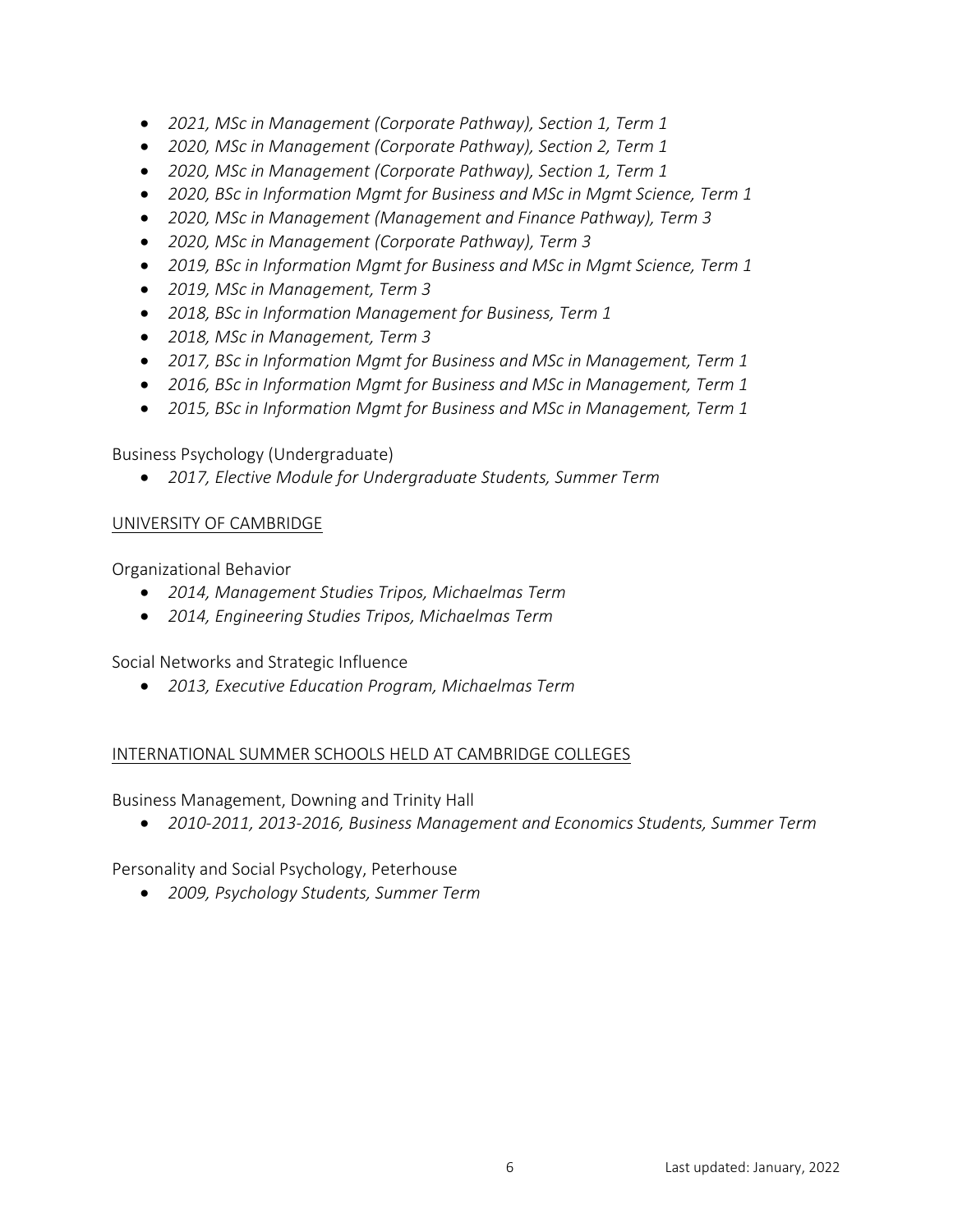- *2021, MSc in Management (Corporate Pathway), Section 1, Term 1*
- *2020, MSc in Management (Corporate Pathway), Section 2, Term 1*
- *2020, MSc in Management (Corporate Pathway), Section 1, Term 1*
- *2020, BSc in Information Mgmt for Business and MSc in Mgmt Science, Term 1*
- *2020, MSc in Management (Management and Finance Pathway), Term 3*
- *2020, MSc in Management (Corporate Pathway), Term 3*
- *2019, BSc in Information Mgmt for Business and MSc in Mgmt Science, Term 1*
- *2019, MSc in Management, Term 3*
- *2018, BSc in Information Management for Business, Term 1*
- *2018, MSc in Management, Term 3*
- *2017, BSc in Information Mgmt for Business and MSc in Management, Term 1*
- *2016, BSc in Information Mgmt for Business and MSc in Management, Term 1*
- *2015, BSc in Information Mgmt for Business and MSc in Management, Term 1*

Business Psychology (Undergraduate)

• *2017, Elective Module for Undergraduate Students, Summer Term*

## UNIVERSITY OF CAMBRIDGE

Organizational Behavior

- *2014, Management Studies Tripos, Michaelmas Term*
- *2014, Engineering Studies Tripos, Michaelmas Term*

Social Networks and Strategic Influence

• *2013, Executive Education Program, Michaelmas Term*

## INTERNATIONAL SUMMER SCHOOLS HELD AT CAMBRIDGE COLLEGES

Business Management, Downing and Trinity Hall

• *2010-2011, 2013-2016, Business Management and Economics Students, Summer Term*

Personality and Social Psychology, Peterhouse

• *2009, Psychology Students, Summer Term*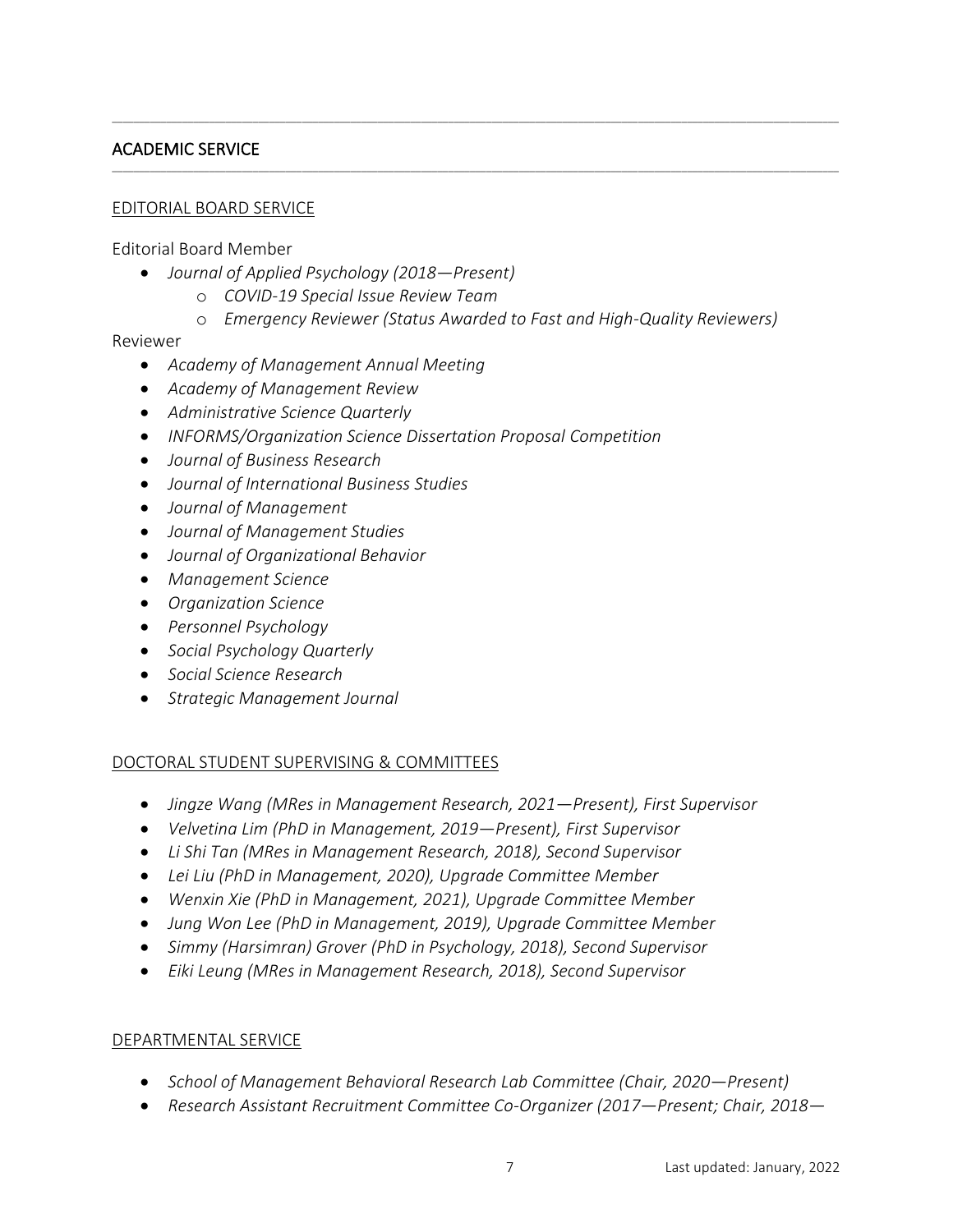## ACADEMIC SERVICE

#### EDITORIAL BOARD SERVICE

Editorial Board Member

- *Journal of Applied Psychology (2018—Present)*
	- o *COVID-19 Special Issue Review Team*
	- o *Emergency Reviewer (Status Awarded to Fast and High-Quality Reviewers)*

\_\_\_\_\_\_\_\_\_\_\_\_\_\_\_\_\_\_\_\_\_\_\_\_\_\_\_\_\_\_\_\_\_\_\_\_\_\_\_\_\_\_\_\_\_\_\_\_\_\_\_\_\_\_\_\_\_\_\_\_\_\_\_\_\_\_\_\_\_\_\_\_\_\_\_\_\_\_\_\_\_\_\_\_\_\_\_\_\_\_\_\_\_\_\_\_\_\_\_\_\_\_\_\_\_\_\_\_\_\_\_\_\_\_\_\_\_\_\_\_\_\_\_\_\_\_\_\_\_\_\_\_\_\_

\_\_\_\_\_\_\_\_\_\_\_\_\_\_\_\_\_\_\_\_\_\_\_\_\_\_\_\_\_\_\_\_\_\_\_\_\_\_\_\_\_\_\_\_\_\_\_\_\_\_\_\_\_\_\_\_\_\_\_\_\_\_\_\_\_\_\_\_\_\_\_\_\_\_\_\_\_\_\_\_\_\_\_\_\_\_\_\_\_\_\_\_\_\_\_\_\_\_\_\_\_\_\_\_\_\_\_\_\_\_\_\_\_\_\_\_\_\_\_\_\_\_\_\_\_\_\_\_\_\_\_\_\_\_

#### Reviewer

- *Academy of Management Annual Meeting*
- *Academy of Management Review*
- *Administrative Science Quarterly*
- *INFORMS/Organization Science Dissertation Proposal Competition*
- *Journal of Business Research*
- *Journal of International Business Studies*
- *Journal of Management*
- *Journal of Management Studies*
- *Journal of Organizational Behavior*
- *Management Science*
- *Organization Science*
- *Personnel Psychology*
- *Social Psychology Quarterly*
- *Social Science Research*
- *Strategic Management Journal*

#### DOCTORAL STUDENT SUPERVISING & COMMITTEES

- *Jingze Wang (MRes in Management Research, 2021—Present), First Supervisor*
- *Velvetina Lim (PhD in Management, 2019—Present), First Supervisor*
- *Li Shi Tan (MRes in Management Research, 2018), Second Supervisor*
- *Lei Liu (PhD in Management, 2020), Upgrade Committee Member*
- *Wenxin Xie (PhD in Management, 2021), Upgrade Committee Member*
- *Jung Won Lee (PhD in Management, 2019), Upgrade Committee Member*
- *Simmy (Harsimran) Grover (PhD in Psychology, 2018), Second Supervisor*
- *Eiki Leung (MRes in Management Research, 2018), Second Supervisor*

#### DEPARTMENTAL SERVICE

- *School of Management Behavioral Research Lab Committee (Chair, 2020—Present)*
- *Research Assistant Recruitment Committee Co-Organizer (2017—Present; Chair, 2018—*